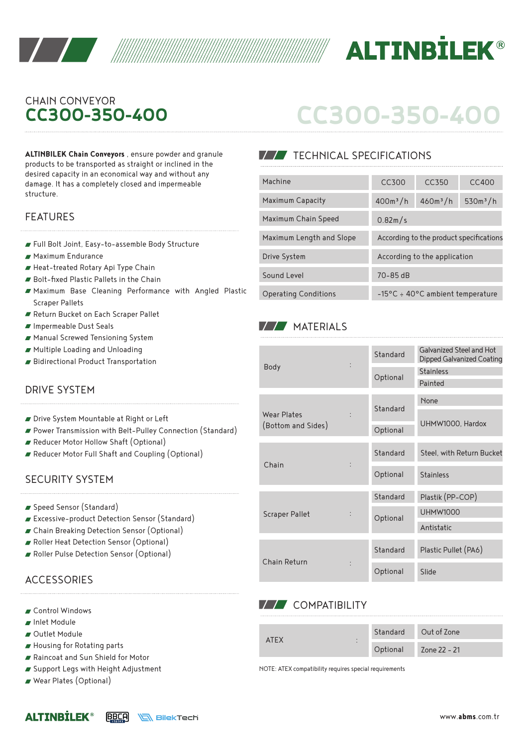



# CHAIN CONVEYOR **CC300-350-400**

**ALTINBILEK Chain Conveyors** , ensure powder and granule products to be transported as straight or inclined in the desired capacity in an economical way and without any damage. It has a completely closed and impermeable structure.

- Full Bolt Joint, Easy-to-assemble Body Structure
- Maximum Endurance
- Heat-treated Rotary Api Type Chain
- Bolt-fixed Plastic Pallets in the Chain
- Maximum Base Cleaning Performance with Angled Plastic Scraper Pallets
- Return Bucket on Each Scraper Pallet
- Impermeable Dust Seals
- Manual Screwed Tensioning System
- Multiple Loading and Unloading
- Bidirectional Product Transportation

## DRIVE SYSTEM

- Drive System Mountable at Right or Left
- Power Transmission with Belt-Pulley Connection (Standard)
- Reducer Motor Hollow Shaft (Optional)
- Reducer Motor Full Shaft and Coupling (Optional)

#### SECURITY SYSTEM

- Speed Sensor (Standard)
- Excessive-product Detection Sensor (Standard)
- Chain Breaking Detection Sensor (Optional)
- Roller Heat Detection Sensor (Optional)
- Roller Pulse Detection Sensor (Optional)

## **ACCESSORIES**

- Control Windows
- Inlet Module
- Outlet Module
- Housing for Rotating parts
- Raincoat and Sun Shield for Motor
- Support Legs with Height Adjustment
- Wear Plates (Optional)

| CC300-350-400 |  |  |
|---------------|--|--|
|               |  |  |

## **TECHNICAL SPECIFICATIONS**

| desired capacity in an economical way and without any<br>damage. It has a completely closed and impermeable | Machine                     | CC300                                      | CC350                                   | CC400      |  |
|-------------------------------------------------------------------------------------------------------------|-----------------------------|--------------------------------------------|-----------------------------------------|------------|--|
| structure.                                                                                                  | Maximum Capacity            | $400m^3/h$                                 | $460m^3/h$                              | $530m^3/h$ |  |
| <b>FEATURES</b>                                                                                             | Maximum Chain Speed         | 0.82m/s                                    |                                         |            |  |
| Full Bolt Joint, Easy-to-assemble Body Structure                                                            | Maximum Length and Slope    |                                            | According to the product specifications |            |  |
| ■ Maximum Endurance                                                                                         | Drive System                | According to the application               |                                         |            |  |
| Heat-treated Rotary Api Type Chain<br>Bolt-fixed Plastic Pallets in the Chain                               | Sound Level                 | $70 - 85$ dB                               |                                         |            |  |
| Maximum Base Cleaning Performance with Angled Plastic                                                       | <b>Operating Conditions</b> | $-15^{\circ}$ C ÷ 40°C ambient temperature |                                         |            |  |

## **MATERIALS**

|                       |  | Standard | Galvanized Steel and Hot<br>Dipped Galvanized Coating |  |  |
|-----------------------|--|----------|-------------------------------------------------------|--|--|
| <b>Body</b>           |  |          | <b>Stainless</b>                                      |  |  |
|                       |  | Optional | Painted                                               |  |  |
|                       |  |          | None                                                  |  |  |
| Wear Plates           |  | Standard |                                                       |  |  |
| (Bottom and Sides)    |  | Optional | UHMW1000, Hardox                                      |  |  |
|                       |  | Standard | Steel, with Return Bucket                             |  |  |
| Chain                 |  |          |                                                       |  |  |
|                       |  | Optional | <b>Stainless</b>                                      |  |  |
|                       |  | Standard | Plastik (PP-COP)                                      |  |  |
| <b>Scraper Pallet</b> |  |          | <b>UHMW1000</b>                                       |  |  |
|                       |  | Optional | Antistatic                                            |  |  |
|                       |  |          |                                                       |  |  |
|                       |  | Standard | Plastic Pullet (PA6)                                  |  |  |
| Chain Return          |  | Optional | Slide                                                 |  |  |

## **VV** COMPATIBILITY

| $\triangle$ IFX<br>٠ |          | Standard Out of Zone |
|----------------------|----------|----------------------|
| ٠                    | Optional | Zone 22 - 21         |

NOTE: ATEX compatibility requires special requirements